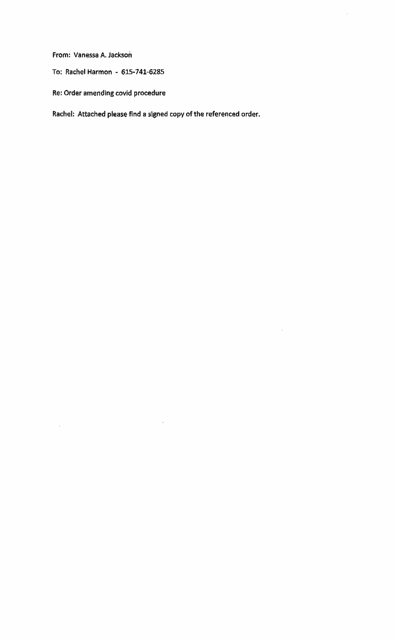From: Vanessa A. Jackson

To: Rachel Harmon - 615-741-6285

Re: Order amending covid procedure

Rachel: Attached please find a signed copy of the referenced order.

 $\hat{\mathcal{A}}$ 

 $\mathbb{R}^2$ 

 $\ddot{\phantom{a}}$ 

 $\bar{z}$